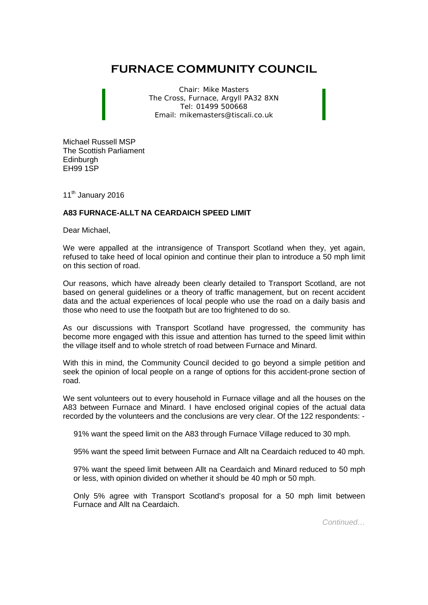## **FURNACE COMMUNITY COUNCIL**

Chair: Mike Masters The Cross, Furnace, Argyll PA32 8XN Tel: 01499 500668 Email: mikemasters@tiscali.co.uk

Michael Russell MSP The Scottish Parliament **Edinburgh** EH99 1SP

11<sup>th</sup> January 2016

## **A83 FURNACE-ALLT NA CEARDAICH SPEED LIMIT**

Dear Michael,

We were appalled at the intransigence of Transport Scotland when they, yet again, refused to take heed of local opinion and continue their plan to introduce a 50 mph limit on this section of road.

Our reasons, which have already been clearly detailed to Transport Scotland, are not based on general guidelines or a theory of traffic management, but on recent accident data and the actual experiences of local people who use the road on a daily basis and those who need to use the footpath but are too frightened to do so.

As our discussions with Transport Scotland have progressed, the community has become more engaged with this issue and attention has turned to the speed limit within the village itself and to whole stretch of road between Furnace and Minard.

With this in mind, the Community Council decided to go beyond a simple petition and seek the opinion of local people on a range of options for this accident-prone section of road.

We sent volunteers out to every household in Furnace village and all the houses on the A83 between Furnace and Minard. I have enclosed original copies of the actual data recorded by the volunteers and the conclusions are very clear. Of the 122 respondents: -

91% want the speed limit on the A83 through Furnace Village reduced to 30 mph.

95% want the speed limit between Furnace and Allt na Ceardaich reduced to 40 mph.

97% want the speed limit between Allt na Ceardaich and Minard reduced to 50 mph or less, with opinion divided on whether it should be 40 mph or 50 mph.

Only 5% agree with Transport Scotland's proposal for a 50 mph limit between Furnace and Allt na Ceardaich.

*Continued…*